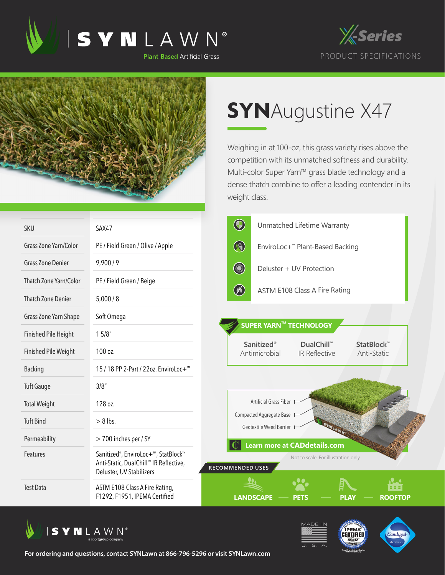





## **SYN**Augustine X47

Weighing in at 100-oz, this grass variety rises above the competition with its unmatched softness and durability. Multi-color Super Yarn™ grass blade technology and a dense thatch combine to offer a leading contender in its weight class.

| <b>SKU</b>                    | SAX47                                                                                                                               | $\bigcirc$<br>Unmatched Lifetime Warranty                                                      |
|-------------------------------|-------------------------------------------------------------------------------------------------------------------------------------|------------------------------------------------------------------------------------------------|
| Grass Zone Yarn/Color         | PE / Field Green / Olive / Apple                                                                                                    | $\bigcirc$<br>EnviroLoc+ <sup>™</sup> Plant-Based Backing                                      |
| <b>Grass Zone Denier</b>      | 9,900/9                                                                                                                             | <b>Committee Committee</b><br>Deluster + UV Protection                                         |
| <b>Thatch Zone Yarn/Color</b> | PE / Field Green / Beige                                                                                                            |                                                                                                |
| <b>Thatch Zone Denier</b>     | 5,000/8                                                                                                                             | $\circledast$<br>ASTM E108 Class A Fire Rating                                                 |
| Grass Zone Yarn Shape         | Soft Omega                                                                                                                          | SUPER YARN™ TECHNOLOGY                                                                         |
| <b>Finished Pile Height</b>   | 15/8"                                                                                                                               |                                                                                                |
| <b>Finished Pile Weight</b>   | 100 oz.                                                                                                                             | Sanitized®<br>DualChill™<br>StatBlock™<br>Antimicrobial<br><b>IR Reflective</b><br>Anti-Static |
| <b>Backing</b>                | 15 / 18 PP 2-Part / 22oz. EnviroLoc+ <sup>™</sup>                                                                                   |                                                                                                |
| <b>Tuft Gauge</b>             | 3/8''                                                                                                                               |                                                                                                |
| <b>Total Weight</b>           | 128 oz.                                                                                                                             | Artificial Grass Fiber                                                                         |
| <b>Tuft Bind</b>              | $> 8$ lbs.                                                                                                                          | Compacted Aggregate Base<br>Geotextile Weed Barrier                                            |
| Permeability                  | > 700 inches per / SY                                                                                                               | <b>Learn more at CADdetails.com</b>                                                            |
| <b>Features</b>               | Sanitized <sup>®</sup> , EnviroLoc+ <sup>™</sup> , StatBlock™<br>Anti-Static, DualChill™ IR Reflective,<br>Deluster, UV Stabilizers | Not to scale. For illustration only.<br><b>RECOMMENDED USES</b>                                |
| <b>Test Data</b>              | ASTM E108 Class A Fire Rating,<br>F1292, F1951, IPEMA Certified                                                                     | <b>LANDSCAPE</b><br><b>ROOFTOP</b><br>23 S                                                     |







**For ordering and questions, contact SYNLawn at 866-796-5296 or visit SYNLawn.com**